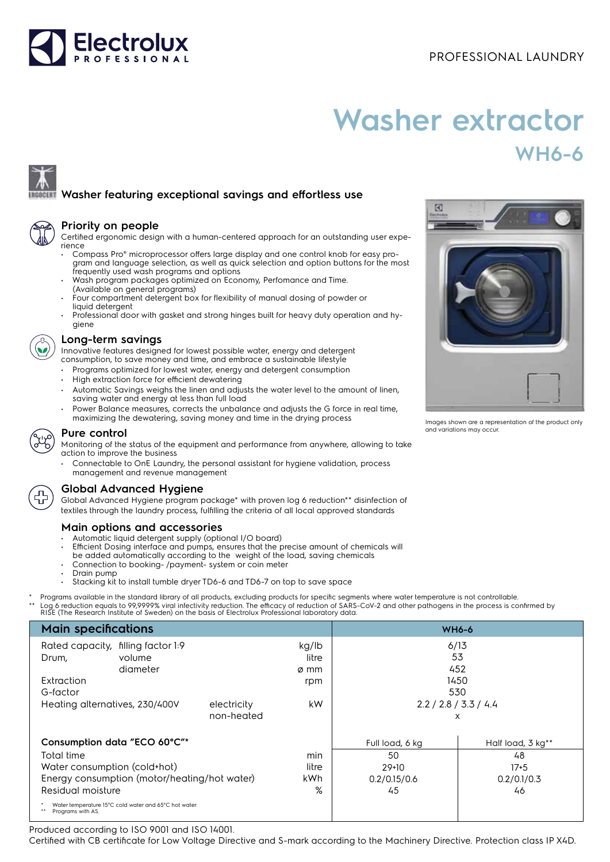

# **Washer extractor WH6-6**

## **Washer featuring exceptional savings and effortless use**

| а |  |
|---|--|
|   |  |

#### **Priority on people**

Certified ergonomic design with a human-centered approach for an outstanding user experience

- Compass Pro® microprocessor offers large display and one control knob for easy program and language selection, as well as quick selection and option buttons for the most frequently used wash programs and options
- Wash program packages optimized on Economy, Perfomance and Time. (Available on general programs)
- Four compartment detergent box for flexibility of manual dosing of powder or liquid detergent
- Professional door with gasket and strong hinges built for heavy duty operation and hygiene

#### **Long-term savings**

Innovative features designed for lowest possible water, energy and detergent consumption, to save money and time, and embrace a sustainable lifestyle

- Programs optimized for lowest water, energy and detergent consumption
- High extraction force for efficient dewatering
- Automatic Savings weighs the linen and adjusts the water level to the amount of linen, saving water and energy at less than full load
- Power Balance measures, corrects the unbalance and adjusts the G force in real time, maximizing the dewatering, saving money and time in the drying process



### **Pure control**

Monitoring of the status of the equipment and performance from anywhere, allowing to take action to improve the business

• Connectable to OnE Laundry, the personal assistant for hygiene validation, process management and revenue management



### **Global Advanced Hygiene**

Global Advanced Hygiene program package\* with proven log 6 reduction\*\* disinfection of textiles through the laundry process, fulfilling the criteria of all local approved standards

### **Main options and accessories**

- Automatic liquid detergent supply (optional I/O board)
- Efficient Dosing interface and pumps, ensures that the precise amount of chemicals will
- be added automatically according to the weight of the load, saving chemicals
- Connection to booking- /payment- system or coin meter
- Drain pump
- Stacking kit to install tumble dryer TD6-6 and TD6-7 on top to save space

Programs available in the standard library of all products, excluding products for specific segments where water temperature is not controllable. \*\* Log 6 reduction equals to 99,9999% viral infectivity reduction. The efficacy of reduction of SARS-CoV-2 and other pathogens in the process is confirmed by<br>RISE (The Research Institute of Sweden) on the basis of Electrol

| <b>Main specifications</b>                                                 |             |       | <b>WH6-6</b>          |                   |  |
|----------------------------------------------------------------------------|-------------|-------|-----------------------|-------------------|--|
| Rated capacity, filling factor 1:9<br>kg/lb                                |             |       | 6/13                  |                   |  |
| volume<br>Drum,                                                            |             | litre | 53                    |                   |  |
| diameter                                                                   |             | ø mm  | 452                   |                   |  |
| Extraction                                                                 |             | rpm   | 1450                  |                   |  |
| G-factor                                                                   |             |       | 530                   |                   |  |
| Heating alternatives, 230/400V                                             | electricity | kW.   | 2.2 / 2.8 / 3.3 / 4.4 |                   |  |
|                                                                            | non-heated  |       | X                     |                   |  |
| Consumption data "ECO 60°C"*                                               |             |       | Full load, 6 kg       | Half load, 3 kg** |  |
| Total time                                                                 |             | min   | 50                    | 48                |  |
| Water consumption (cold+hot)                                               |             | litre | $29+10$               | $17 + 5$          |  |
| Energy consumption (motor/heating/hot water)                               |             | kWh   | 0.2/0.15/0.6          | 0.2/0.1/0.3       |  |
| Residual moisture                                                          |             | %     | 45                    | 46                |  |
| Water temperature 15°C cold water and 65°C hot water.<br>Programs with AS. |             |       |                       |                   |  |

Produced according to ISO 9001 and ISO 14001.

Certified with CB certificate for Low Voltage Directive and S-mark according to the Machinery Directive. Protection class IP X4D.



Images shown are a representation of the product only and variations may occur.